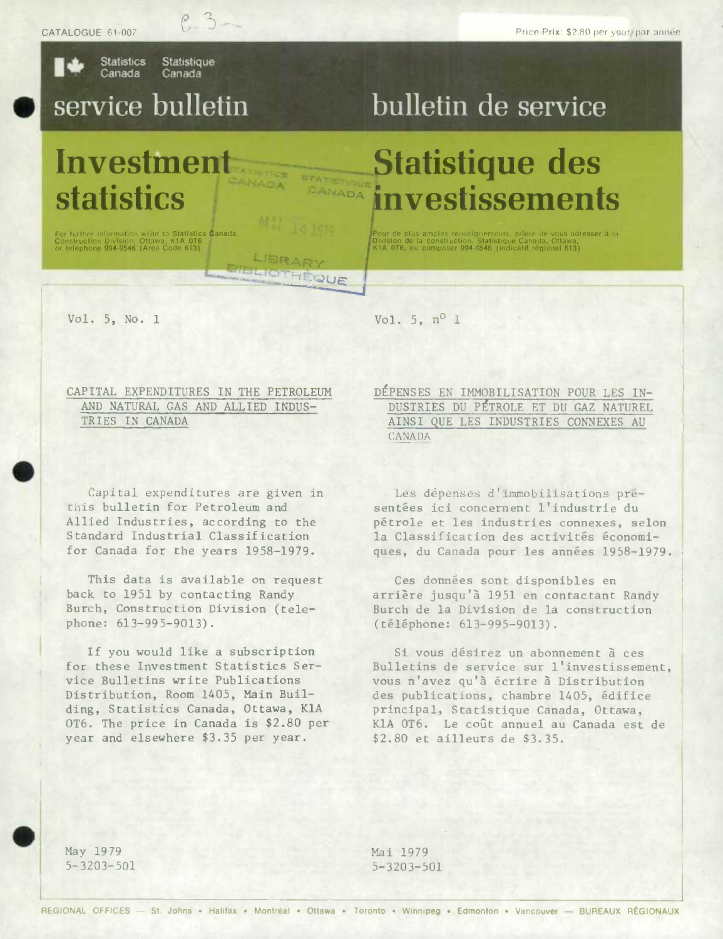**Statistics Statistique** Canada Canada

 $P.3 -$ 

## service bulletin

Investment **statistics** 

For further Information write to Statistics Canada,<br>Construction Division, Ottawa, K1A 0T6<br>or telephone 994-9546 (Area Code 613)

## bulletin de service

## **Statistique des** investissements

.<br>Pour de plus amples renseignements, prière de vous adr<mark>esser</mark> à la<br>Division de la construction, Statistique Canada, Ottawa,<br>K1A 0T6, ou composer 994-9546 (indicatif régional 613)

Vol. 5, No. 1

Vol. 5,  $n^{\circ}$  1

**CANADA** 

CANADA

LIBRAR **TETETHEOUE** 

CAPITAL EXPENDITURES IN THE PETROLEUM AND NATURAL GAS AND ALLIED INDUS-TRIES IN CANADA

Capital expenditures are given in this bulletin for Petroleum and Allied Industries, according to the Standard Industrial Classification for Canada for the years 1958-1979.

This data is available on request back to 1951 by contacting Randy Burch, Construction Division (telephone: 613-995-9013).

If you would like a subscription for these Investment Statistics Service Bulletins write Publications Distribution, Room 1405, Main Building, Statistics Canada, Ottawa, KlA OT6. The price in Canada is \$2.80 per year and elsewhere \$3.35 per year.

DÉPENSES EN IMMOBILISATION POUR LES IN-DUSTRIES DU PÉTROLE ET DU GAZ NATUREL AINSI QUE LES INDUSTRIES CONNEXES AU **CANADA** 

Les dépenses d'immobilisations présentées ici concernent l'industrie du pétrole et les industries connexes, selon la Classification des activités économiques, du Canada pour les années 1958-1979.

Ces données sont disponibles en arrière jusqu'à 1951 en contactant Randy Burch de la Division de la construction (téléphone: 613-995-9013).

Si vous désirez un abonnement à ces Bulletins de service sur l'investissement, vous n'avez qu'à écrire à Distribution des publications, chambre 1405, édifice principal, Statistique Canada, Ottawa, KlA OT6. Le coût annuel au Canada est de \$2.80 et ailleurs de \$3.35.

May 1979  $5 - 3203 - 501$  Mai 1979  $5 - 3203 - 501$